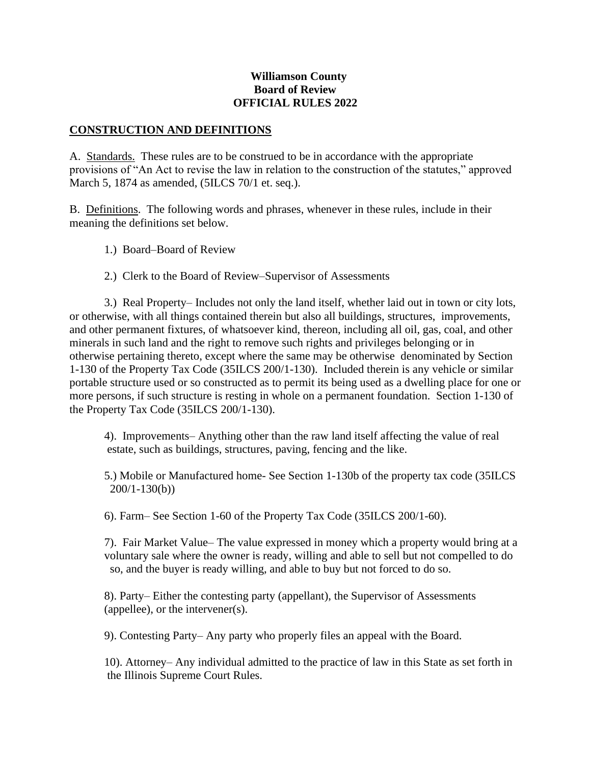#### **Williamson County Board of Review OFFICIAL RULES 2022**

#### **CONSTRUCTION AND DEFINITIONS**

A. Standards. These rules are to be construed to be in accordance with the appropriate provisions of "An Act to revise the law in relation to the construction of the statutes," approved March 5, 1874 as amended, (5ILCS 70/1 et. seq.).

B. Definitions. The following words and phrases, whenever in these rules, include in their meaning the definitions set below.

- 1.) Board–Board of Review
- 2.) Clerk to the Board of Review–Supervisor of Assessments

3.) Real Property– Includes not only the land itself, whether laid out in town or city lots, or otherwise, with all things contained therein but also all buildings, structures, improvements, and other permanent fixtures, of whatsoever kind, thereon, including all oil, gas, coal, and other minerals in such land and the right to remove such rights and privileges belonging or in otherwise pertaining thereto, except where the same may be otherwise denominated by Section 1-130 of the Property Tax Code (35ILCS 200/1-130). Included therein is any vehicle or similar portable structure used or so constructed as to permit its being used as a dwelling place for one or more persons, if such structure is resting in whole on a permanent foundation. Section 1-130 of the Property Tax Code (35ILCS 200/1-130).

4). Improvements– Anything other than the raw land itself affecting the value of real estate, such as buildings, structures, paving, fencing and the like.

5.) Mobile or Manufactured home- See Section 1-130b of the property tax code (35ILCS 200/1-130(b))

6). Farm– See Section 1-60 of the Property Tax Code (35ILCS 200/1-60).

7). Fair Market Value– The value expressed in money which a property would bring at a voluntary sale where the owner is ready, willing and able to sell but not compelled to do so, and the buyer is ready willing, and able to buy but not forced to do so.

8). Party– Either the contesting party (appellant), the Supervisor of Assessments (appellee), or the intervener(s).

9). Contesting Party– Any party who properly files an appeal with the Board.

10). Attorney– Any individual admitted to the practice of law in this State as set forth in the Illinois Supreme Court Rules.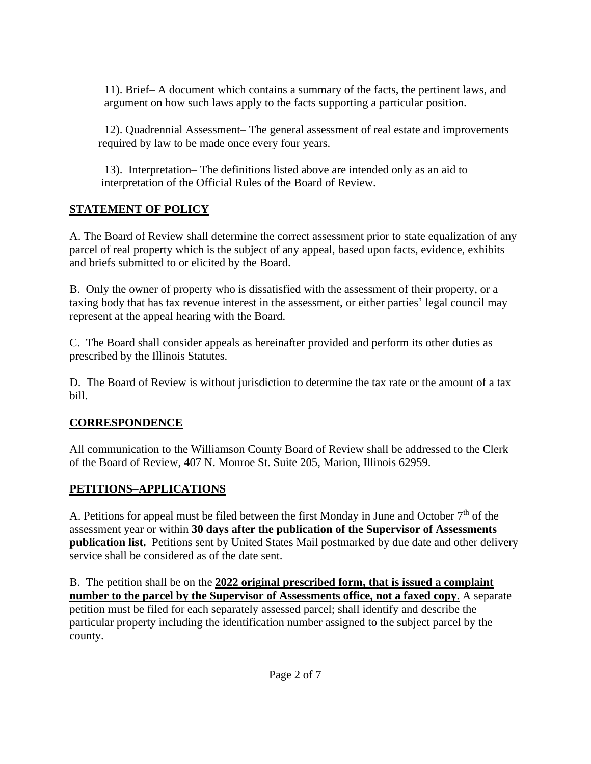11). Brief– A document which contains a summary of the facts, the pertinent laws, and argument on how such laws apply to the facts supporting a particular position.

12). Quadrennial Assessment– The general assessment of real estate and improvements required by law to be made once every four years.

13). Interpretation– The definitions listed above are intended only as an aid to interpretation of the Official Rules of the Board of Review.

#### **STATEMENT OF POLICY**

A. The Board of Review shall determine the correct assessment prior to state equalization of any parcel of real property which is the subject of any appeal, based upon facts, evidence, exhibits and briefs submitted to or elicited by the Board.

B. Only the owner of property who is dissatisfied with the assessment of their property, or a taxing body that has tax revenue interest in the assessment, or either parties' legal council may represent at the appeal hearing with the Board.

C. The Board shall consider appeals as hereinafter provided and perform its other duties as prescribed by the Illinois Statutes.

D. The Board of Review is without jurisdiction to determine the tax rate or the amount of a tax bill.

## **CORRESPONDENCE**

All communication to the Williamson County Board of Review shall be addressed to the Clerk of the Board of Review, 407 N. Monroe St. Suite 205, Marion, Illinois 62959.

## **PETITIONS–APPLICATIONS**

A. Petitions for appeal must be filed between the first Monday in June and October  $7<sup>th</sup>$  of the assessment year or within **30 days after the publication of the Supervisor of Assessments publication list.** Petitions sent by United States Mail postmarked by due date and other delivery service shall be considered as of the date sent.

B. The petition shall be on the **2022 original prescribed form, that is issued a complaint number to the parcel by the Supervisor of Assessments office, not a faxed copy**. A separate petition must be filed for each separately assessed parcel; shall identify and describe the particular property including the identification number assigned to the subject parcel by the county.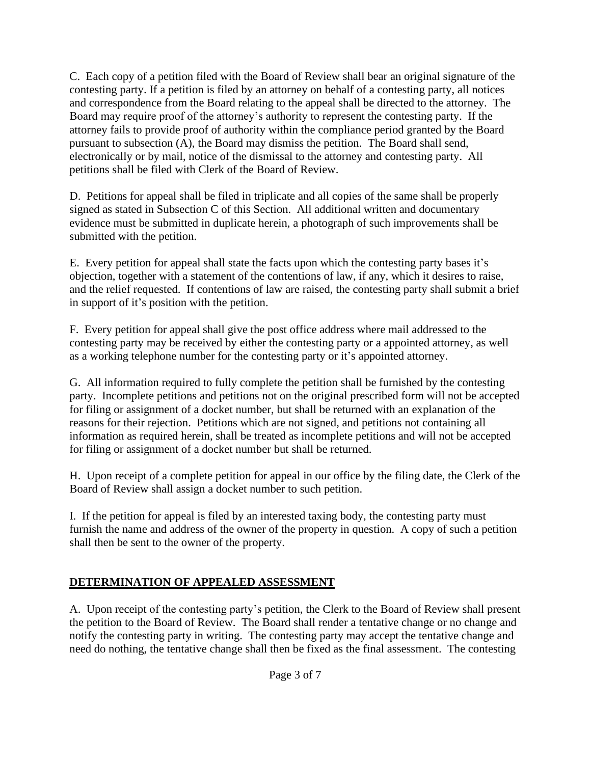C. Each copy of a petition filed with the Board of Review shall bear an original signature of the contesting party. If a petition is filed by an attorney on behalf of a contesting party, all notices and correspondence from the Board relating to the appeal shall be directed to the attorney. The Board may require proof of the attorney's authority to represent the contesting party. If the attorney fails to provide proof of authority within the compliance period granted by the Board pursuant to subsection (A), the Board may dismiss the petition. The Board shall send, electronically or by mail, notice of the dismissal to the attorney and contesting party. All petitions shall be filed with Clerk of the Board of Review.

D. Petitions for appeal shall be filed in triplicate and all copies of the same shall be properly signed as stated in Subsection C of this Section. All additional written and documentary evidence must be submitted in duplicate herein, a photograph of such improvements shall be submitted with the petition.

E. Every petition for appeal shall state the facts upon which the contesting party bases it's objection, together with a statement of the contentions of law, if any, which it desires to raise, and the relief requested. If contentions of law are raised, the contesting party shall submit a brief in support of it's position with the petition.

F. Every petition for appeal shall give the post office address where mail addressed to the contesting party may be received by either the contesting party or a appointed attorney, as well as a working telephone number for the contesting party or it's appointed attorney.

G. All information required to fully complete the petition shall be furnished by the contesting party. Incomplete petitions and petitions not on the original prescribed form will not be accepted for filing or assignment of a docket number, but shall be returned with an explanation of the reasons for their rejection. Petitions which are not signed, and petitions not containing all information as required herein, shall be treated as incomplete petitions and will not be accepted for filing or assignment of a docket number but shall be returned.

H. Upon receipt of a complete petition for appeal in our office by the filing date, the Clerk of the Board of Review shall assign a docket number to such petition.

I. If the petition for appeal is filed by an interested taxing body, the contesting party must furnish the name and address of the owner of the property in question. A copy of such a petition shall then be sent to the owner of the property.

## **DETERMINATION OF APPEALED ASSESSMENT**

A. Upon receipt of the contesting party's petition, the Clerk to the Board of Review shall present the petition to the Board of Review. The Board shall render a tentative change or no change and notify the contesting party in writing. The contesting party may accept the tentative change and need do nothing, the tentative change shall then be fixed as the final assessment. The contesting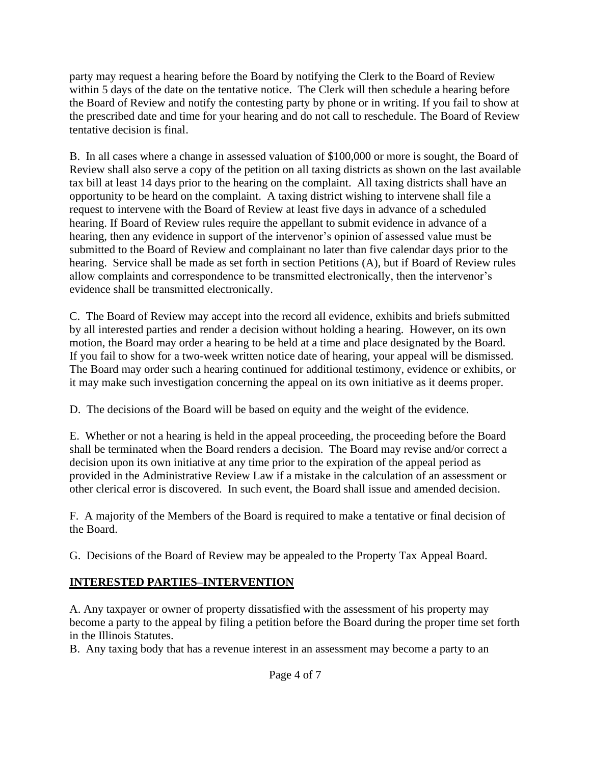party may request a hearing before the Board by notifying the Clerk to the Board of Review within 5 days of the date on the tentative notice. The Clerk will then schedule a hearing before the Board of Review and notify the contesting party by phone or in writing. If you fail to show at the prescribed date and time for your hearing and do not call to reschedule. The Board of Review tentative decision is final.

B. In all cases where a change in assessed valuation of \$100,000 or more is sought, the Board of Review shall also serve a copy of the petition on all taxing districts as shown on the last available tax bill at least 14 days prior to the hearing on the complaint. All taxing districts shall have an opportunity to be heard on the complaint. A taxing district wishing to intervene shall file a request to intervene with the Board of Review at least five days in advance of a scheduled hearing. If Board of Review rules require the appellant to submit evidence in advance of a hearing, then any evidence in support of the intervenor's opinion of assessed value must be submitted to the Board of Review and complainant no later than five calendar days prior to the hearing. Service shall be made as set forth in section Petitions (A), but if Board of Review rules allow complaints and correspondence to be transmitted electronically, then the intervenor's evidence shall be transmitted electronically.

C. The Board of Review may accept into the record all evidence, exhibits and briefs submitted by all interested parties and render a decision without holding a hearing. However, on its own motion, the Board may order a hearing to be held at a time and place designated by the Board. If you fail to show for a two-week written notice date of hearing, your appeal will be dismissed. The Board may order such a hearing continued for additional testimony, evidence or exhibits, or it may make such investigation concerning the appeal on its own initiative as it deems proper.

D. The decisions of the Board will be based on equity and the weight of the evidence.

E. Whether or not a hearing is held in the appeal proceeding, the proceeding before the Board shall be terminated when the Board renders a decision. The Board may revise and/or correct a decision upon its own initiative at any time prior to the expiration of the appeal period as provided in the Administrative Review Law if a mistake in the calculation of an assessment or other clerical error is discovered. In such event, the Board shall issue and amended decision.

F. A majority of the Members of the Board is required to make a tentative or final decision of the Board.

G. Decisions of the Board of Review may be appealed to the Property Tax Appeal Board.

## **INTERESTED PARTIES–INTERVENTION**

A. Any taxpayer or owner of property dissatisfied with the assessment of his property may become a party to the appeal by filing a petition before the Board during the proper time set forth in the Illinois Statutes.

B. Any taxing body that has a revenue interest in an assessment may become a party to an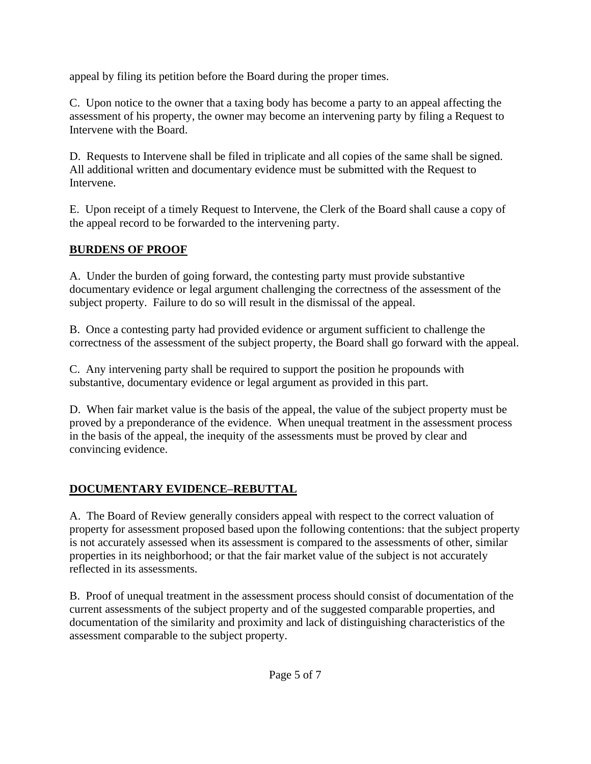appeal by filing its petition before the Board during the proper times.

C. Upon notice to the owner that a taxing body has become a party to an appeal affecting the assessment of his property, the owner may become an intervening party by filing a Request to Intervene with the Board.

D. Requests to Intervene shall be filed in triplicate and all copies of the same shall be signed. All additional written and documentary evidence must be submitted with the Request to Intervene.

E. Upon receipt of a timely Request to Intervene, the Clerk of the Board shall cause a copy of the appeal record to be forwarded to the intervening party.

## **BURDENS OF PROOF**

A. Under the burden of going forward, the contesting party must provide substantive documentary evidence or legal argument challenging the correctness of the assessment of the subject property. Failure to do so will result in the dismissal of the appeal.

B. Once a contesting party had provided evidence or argument sufficient to challenge the correctness of the assessment of the subject property, the Board shall go forward with the appeal.

C. Any intervening party shall be required to support the position he propounds with substantive, documentary evidence or legal argument as provided in this part.

D. When fair market value is the basis of the appeal, the value of the subject property must be proved by a preponderance of the evidence. When unequal treatment in the assessment process in the basis of the appeal, the inequity of the assessments must be proved by clear and convincing evidence.

## **DOCUMENTARY EVIDENCE–REBUTTAL**

A. The Board of Review generally considers appeal with respect to the correct valuation of property for assessment proposed based upon the following contentions: that the subject property is not accurately assessed when its assessment is compared to the assessments of other, similar properties in its neighborhood; or that the fair market value of the subject is not accurately reflected in its assessments.

B. Proof of unequal treatment in the assessment process should consist of documentation of the current assessments of the subject property and of the suggested comparable properties, and documentation of the similarity and proximity and lack of distinguishing characteristics of the assessment comparable to the subject property.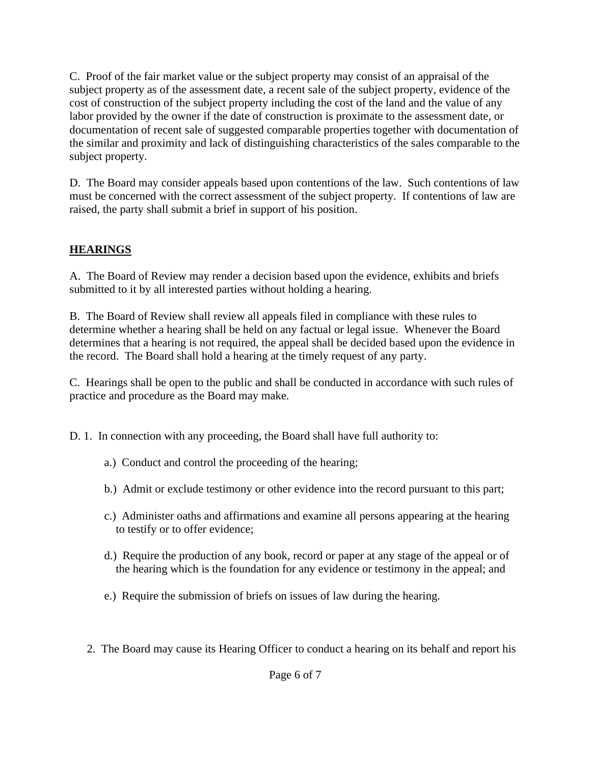C. Proof of the fair market value or the subject property may consist of an appraisal of the subject property as of the assessment date, a recent sale of the subject property, evidence of the cost of construction of the subject property including the cost of the land and the value of any labor provided by the owner if the date of construction is proximate to the assessment date, or documentation of recent sale of suggested comparable properties together with documentation of the similar and proximity and lack of distinguishing characteristics of the sales comparable to the subject property.

D. The Board may consider appeals based upon contentions of the law. Such contentions of law must be concerned with the correct assessment of the subject property. If contentions of law are raised, the party shall submit a brief in support of his position.

#### **HEARINGS**

A. The Board of Review may render a decision based upon the evidence, exhibits and briefs submitted to it by all interested parties without holding a hearing.

B. The Board of Review shall review all appeals filed in compliance with these rules to determine whether a hearing shall be held on any factual or legal issue. Whenever the Board determines that a hearing is not required, the appeal shall be decided based upon the evidence in the record. The Board shall hold a hearing at the timely request of any party.

C. Hearings shall be open to the public and shall be conducted in accordance with such rules of practice and procedure as the Board may make.

D. 1. In connection with any proceeding, the Board shall have full authority to:

- a.) Conduct and control the proceeding of the hearing;
- b.) Admit or exclude testimony or other evidence into the record pursuant to this part;
- c.) Administer oaths and affirmations and examine all persons appearing at the hearing to testify or to offer evidence;
- d.) Require the production of any book, record or paper at any stage of the appeal or of the hearing which is the foundation for any evidence or testimony in the appeal; and
- e.) Require the submission of briefs on issues of law during the hearing.
- 2. The Board may cause its Hearing Officer to conduct a hearing on its behalf and report his